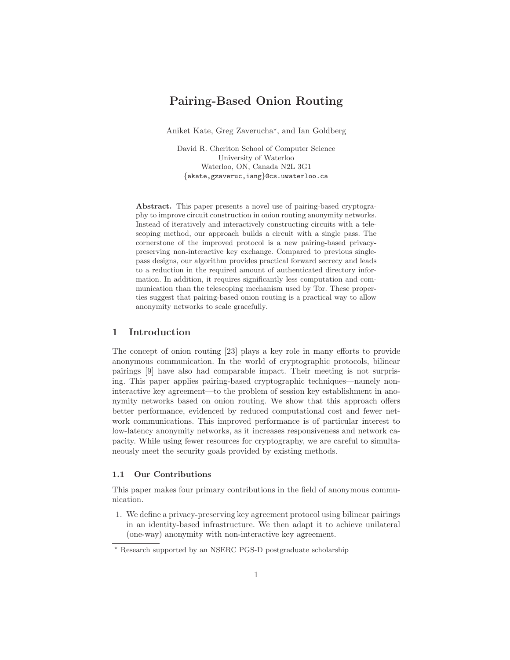# Pairing-Based Onion Routing

Aniket Kate, Greg Zaverucha<sup>\*</sup>, and Ian Goldberg

David R. Cheriton School of Computer Science University of Waterloo Waterloo, ON, Canada N2L 3G1 {akate,gzaveruc,iang}@cs.uwaterloo.ca

Abstract. This paper presents a novel use of pairing-based cryptography to improve circuit construction in onion routing anonymity networks. Instead of iteratively and interactively constructing circuits with a telescoping method, our approach builds a circuit with a single pass. The cornerstone of the improved protocol is a new pairing-based privacypreserving non-interactive key exchange. Compared to previous singlepass designs, our algorithm provides practical forward secrecy and leads to a reduction in the required amount of authenticated directory information. In addition, it requires significantly less computation and communication than the telescoping mechanism used by Tor. These properties suggest that pairing-based onion routing is a practical way to allow anonymity networks to scale gracefully.

## 1 Introduction

The concept of onion routing [23] plays a key role in many efforts to provide anonymous communication. In the world of cryptographic protocols, bilinear pairings [9] have also had comparable impact. Their meeting is not surprising. This paper applies pairing-based cryptographic techniques—namely noninteractive key agreement—to the problem of session key establishment in anonymity networks based on onion routing. We show that this approach offers better performance, evidenced by reduced computational cost and fewer network communications. This improved performance is of particular interest to low-latency anonymity networks, as it increases responsiveness and network capacity. While using fewer resources for cryptography, we are careful to simultaneously meet the security goals provided by existing methods.

#### 1.1 Our Contributions

This paper makes four primary contributions in the field of anonymous communication.

1. We define a privacy-preserving key agreement protocol using bilinear pairings in an identity-based infrastructure. We then adapt it to achieve unilateral (one-way) anonymity with non-interactive key agreement.

<sup>⋆</sup> Research supported by an NSERC PGS-D postgraduate scholarship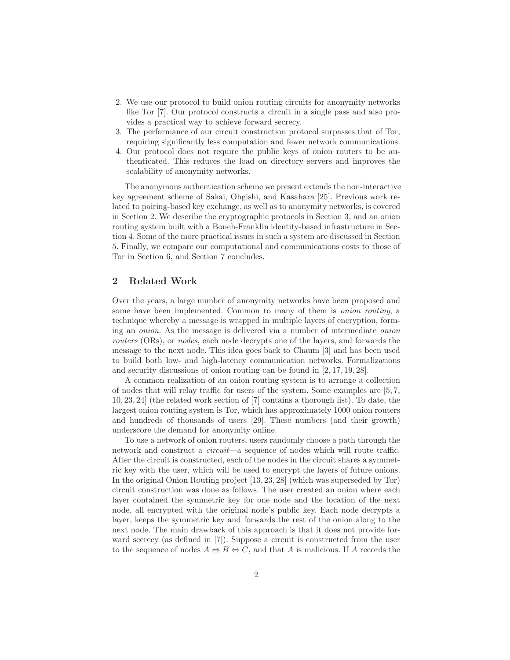- 2. We use our protocol to build onion routing circuits for anonymity networks like Tor [7]. Our protocol constructs a circuit in a single pass and also provides a practical way to achieve forward secrecy.
- 3. The performance of our circuit construction protocol surpasses that of Tor, requiring significantly less computation and fewer network communications.
- 4. Our protocol does not require the public keys of onion routers to be authenticated. This reduces the load on directory servers and improves the scalability of anonymity networks.

The anonymous authentication scheme we present extends the non-interactive key agreement scheme of Sakai, Ohgishi, and Kasahara [25]. Previous work related to pairing-based key exchange, as well as to anonymity networks, is covered in Section 2. We describe the cryptographic protocols in Section 3, and an onion routing system built with a Boneh-Franklin identity-based infrastructure in Section 4. Some of the more practical issues in such a system are discussed in Section 5. Finally, we compare our computational and communications costs to those of Tor in Section 6, and Section 7 concludes.

# 2 Related Work

Over the years, a large number of anonymity networks have been proposed and some have been implemented. Common to many of them is *onion routing*, a technique whereby a message is wrapped in multiple layers of encryption, forming an onion. As the message is delivered via a number of intermediate onion routers (ORs), or nodes, each node decrypts one of the layers, and forwards the message to the next node. This idea goes back to Chaum [3] and has been used to build both low- and high-latency communication networks. Formalizations and security discussions of onion routing can be found in [2, 17, 19, 28].

A common realization of an onion routing system is to arrange a collection of nodes that will relay traffic for users of the system. Some examples are [5, 7, 10, 23, 24] (the related work section of [7] contains a thorough list). To date, the largest onion routing system is Tor, which has approximately 1000 onion routers and hundreds of thousands of users [29]. These numbers (and their growth) underscore the demand for anonymity online.

To use a network of onion routers, users randomly choose a path through the network and construct a circuit—a sequence of nodes which will route traffic. After the circuit is constructed, each of the nodes in the circuit shares a symmetric key with the user, which will be used to encrypt the layers of future onions. In the original Onion Routing project [13, 23, 28] (which was superseded by Tor) circuit construction was done as follows. The user created an onion where each layer contained the symmetric key for one node and the location of the next node, all encrypted with the original node's public key. Each node decrypts a layer, keeps the symmetric key and forwards the rest of the onion along to the next node. The main drawback of this approach is that it does not provide forward secrecy (as defined in [7]). Suppose a circuit is constructed from the user to the sequence of nodes  $A \Leftrightarrow B \Leftrightarrow C$ , and that A is malicious. If A records the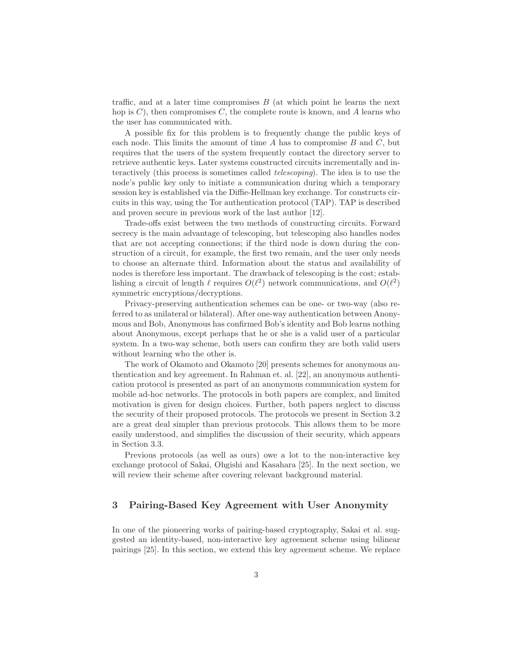traffic, and at a later time compromises  $B$  (at which point he learns the next hop is  $C$ , then compromises  $C$ , the complete route is known, and A learns who the user has communicated with.

A possible fix for this problem is to frequently change the public keys of each node. This limits the amount of time  $A$  has to compromise  $B$  and  $C$ , but requires that the users of the system frequently contact the directory server to retrieve authentic keys. Later systems constructed circuits incrementally and interactively (this process is sometimes called telescoping). The idea is to use the node's public key only to initiate a communication during which a temporary session key is established via the Diffie-Hellman key exchange. Tor constructs circuits in this way, using the Tor authentication protocol (TAP). TAP is described and proven secure in previous work of the last author [12].

Trade-offs exist between the two methods of constructing circuits. Forward secrecy is the main advantage of telescoping, but telescoping also handles nodes that are not accepting connections; if the third node is down during the construction of a circuit, for example, the first two remain, and the user only needs to choose an alternate third. Information about the status and availability of nodes is therefore less important. The drawback of telescoping is the cost; establishing a circuit of length  $\ell$  requires  $O(\ell^2)$  network communications, and  $O(\ell^2)$ symmetric encryptions/decryptions.

Privacy-preserving authentication schemes can be one- or two-way (also referred to as unilateral or bilateral). After one-way authentication between Anonymous and Bob, Anonymous has confirmed Bob's identity and Bob learns nothing about Anonymous, except perhaps that he or she is a valid user of a particular system. In a two-way scheme, both users can confirm they are both valid users without learning who the other is.

The work of Okamoto and Okamoto [20] presents schemes for anonymous authentication and key agreement. In Rahman et. al. [22], an anonymous authentication protocol is presented as part of an anonymous communication system for mobile ad-hoc networks. The protocols in both papers are complex, and limited motivation is given for design choices. Further, both papers neglect to discuss the security of their proposed protocols. The protocols we present in Section 3.2 are a great deal simpler than previous protocols. This allows them to be more easily understood, and simplifies the discussion of their security, which appears in Section 3.3.

Previous protocols (as well as ours) owe a lot to the non-interactive key exchange protocol of Sakai, Ohgishi and Kasahara [25]. In the next section, we will review their scheme after covering relevant background material.

# 3 Pairing-Based Key Agreement with User Anonymity

In one of the pioneering works of pairing-based cryptography, Sakai et al. suggested an identity-based, non-interactive key agreement scheme using bilinear pairings [25]. In this section, we extend this key agreement scheme. We replace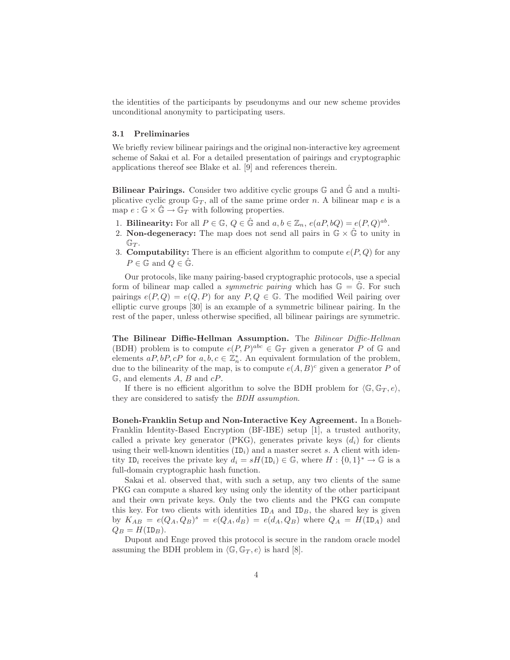the identities of the participants by pseudonyms and our new scheme provides unconditional anonymity to participating users.

#### 3.1 Preliminaries

We briefly review bilinear pairings and the original non-interactive key agreement scheme of Sakai et al. For a detailed presentation of pairings and cryptographic applications thereof see Blake et al. [9] and references therein.

Bilinear Pairings. Consider two additive cyclic groups  $\mathbb G$  and  $\tilde{\mathbb G}$  and a multiplicative cyclic group  $\mathbb{G}_T$ , all of the same prime order n. A bilinear map e is a map  $e : \mathbb{G} \times \hat{\mathbb{G}} \to \mathbb{G}_T$  with following properties.

- 1. Bilinearity: For all  $P \in \mathbb{G}$ ,  $Q \in \hat{\mathbb{G}}$  and  $a, b \in \mathbb{Z}_n$ ,  $e(aP, bQ) = e(P, Q)^{ab}$ .
- 2. Non-degeneracy: The map does not send all pairs in  $\mathbb{G} \times \hat{\mathbb{G}}$  to unity in  $\mathbb{G}_T$ .
- 3. **Computability:** There is an efficient algorithm to compute  $e(P,Q)$  for any  $P \in \mathbb{G}$  and  $Q \in \hat{\mathbb{G}}$ .

Our protocols, like many pairing-based cryptographic protocols, use a special form of bilinear map called a *symmetric pairing* which has  $\mathbb{G} = \mathbb{G}$ . For such pairings  $e(P,Q) = e(Q, P)$  for any  $P, Q \in \mathbb{G}$ . The modified Weil pairing over elliptic curve groups [30] is an example of a symmetric bilinear pairing. In the rest of the paper, unless otherwise specified, all bilinear pairings are symmetric.

The Bilinear Diffie-Hellman Assumption. The Bilinear Diffie-Hellman (BDH) problem is to compute  $e(P, P)^{abc} \in \mathbb{G}_T$  given a generator P of G and elements  $aP, bP, cP$  for  $a, b, c \in \mathbb{Z}_n^*$ . An equivalent formulation of the problem, due to the bilinearity of the map, is to compute  $e(A, B)^c$  given a generator P of  $\mathbb{G}$ , and elements A, B and  $cP$ .

If there is no efficient algorithm to solve the BDH problem for  $\langle \mathbb{G}, \mathbb{G}_T, e \rangle$ , they are considered to satisfy the BDH assumption.

Boneh-Franklin Setup and Non-Interactive Key Agreement. In a Boneh-Franklin Identity-Based Encryption (BF-IBE) setup [1], a trusted authority, called a private key generator (PKG), generates private keys  $(d_i)$  for clients using their well-known identities  $(ID<sub>i</sub>)$  and a master secret s. A client with identity ID<sub>i</sub> receives the private key  $d_i = sH(\text{ID}_i) \in \mathbb{G}$ , where  $H : \{0,1\}^* \to \mathbb{G}$  is a full-domain cryptographic hash function.

Sakai et al. observed that, with such a setup, any two clients of the same PKG can compute a shared key using only the identity of the other participant and their own private keys. Only the two clients and the PKG can compute this key. For two clients with identities  $ID_A$  and  $ID_B$ , the shared key is given by  $K_{AB} = e(Q_A, Q_B)^s = e(Q_A, d_B) = e(d_A, Q_B)$  where  $Q_A = H(1, A)$  and  $Q_B = H(ID_B).$ 

Dupont and Enge proved this protocol is secure in the random oracle model assuming the BDH problem in  $\langle \mathbb{G}, \mathbb{G}_T , e \rangle$  is hard [8].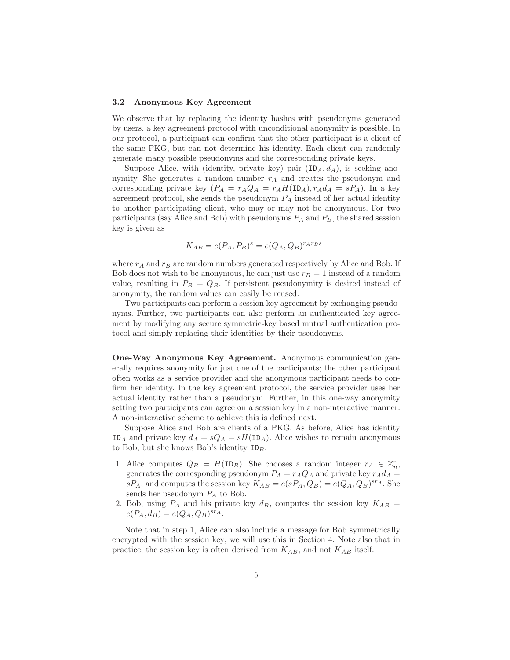#### 3.2 Anonymous Key Agreement

We observe that by replacing the identity hashes with pseudonyms generated by users, a key agreement protocol with unconditional anonymity is possible. In our protocol, a participant can confirm that the other participant is a client of the same PKG, but can not determine his identity. Each client can randomly generate many possible pseudonyms and the corresponding private keys.

Suppose Alice, with (identity, private key) pair  $(ID_A, d_A)$ , is seeking anonymity. She generates a random number  $r_A$  and creates the pseudonym and corresponding private key  $(P_A = r_A Q_A = r_A H (ID_A), r_A d_A = sP_A)$ . In a key agreement protocol, she sends the pseudonym  $P_A$  instead of her actual identity to another participating client, who may or may not be anonymous. For two participants (say Alice and Bob) with pseudonyms  $P_A$  and  $P_B$ , the shared session key is given as

$$
K_{AB} = e(P_A, P_B)^s = e(Q_A, Q_B)^{r_A r_B s}
$$

where  $r_A$  and  $r_B$  are random numbers generated respectively by Alice and Bob. If Bob does not wish to be anonymous, he can just use  $r_B = 1$  instead of a random value, resulting in  $P_B = Q_B$ . If persistent pseudonymity is desired instead of anonymity, the random values can easily be reused.

Two participants can perform a session key agreement by exchanging pseudonyms. Further, two participants can also perform an authenticated key agreement by modifying any secure symmetric-key based mutual authentication protocol and simply replacing their identities by their pseudonyms.

One-Way Anonymous Key Agreement. Anonymous communication generally requires anonymity for just one of the participants; the other participant often works as a service provider and the anonymous participant needs to confirm her identity. In the key agreement protocol, the service provider uses her actual identity rather than a pseudonym. Further, in this one-way anonymity setting two participants can agree on a session key in a non-interactive manner. A non-interactive scheme to achieve this is defined next.

Suppose Alice and Bob are clients of a PKG. As before, Alice has identity ID<sub>A</sub> and private key  $d_A = sQ_A = sH(\text{ID}_A)$ . Alice wishes to remain anonymous to Bob, but she knows Bob's identity  $ID_B$ .

- 1. Alice computes  $Q_B = H(ID_B)$ . She chooses a random integer  $r_A \in \mathbb{Z}_n^*$ , generates the corresponding pseudonym  $P_A = r_A Q_A$  and private key  $r_A d_A$  =  $sP_A$ , and computes the session key  $K_{AB} = e(sP_A, Q_B) = e(Q_A, Q_B)^{s r_A}$ . She sends her pseudonym  $P_A$  to Bob.
- 2. Bob, using  $P_A$  and his private key  $d_B$ , computes the session key  $K_{AB}$  =  $e(P_A, d_B) = e(Q_A, Q_B)^{s r_A}.$

Note that in step 1, Alice can also include a message for Bob symmetrically encrypted with the session key; we will use this in Section 4. Note also that in practice, the session key is often derived from  $K_{AB}$ , and not  $K_{AB}$  itself.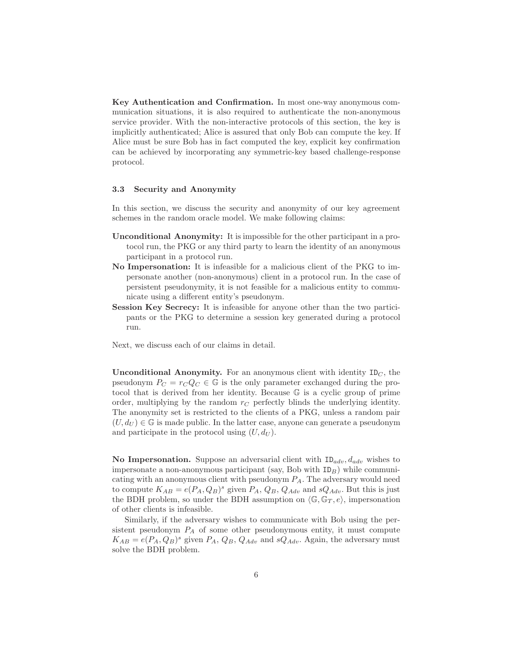Key Authentication and Confirmation. In most one-way anonymous communication situations, it is also required to authenticate the non-anonymous service provider. With the non-interactive protocols of this section, the key is implicitly authenticated; Alice is assured that only Bob can compute the key. If Alice must be sure Bob has in fact computed the key, explicit key confirmation can be achieved by incorporating any symmetric-key based challenge-response protocol.

#### 3.3 Security and Anonymity

In this section, we discuss the security and anonymity of our key agreement schemes in the random oracle model. We make following claims:

- Unconditional Anonymity: It is impossible for the other participant in a protocol run, the PKG or any third party to learn the identity of an anonymous participant in a protocol run.
- No Impersonation: It is infeasible for a malicious client of the PKG to impersonate another (non-anonymous) client in a protocol run. In the case of persistent pseudonymity, it is not feasible for a malicious entity to communicate using a different entity's pseudonym.
- Session Key Secrecy: It is infeasible for anyone other than the two participants or the PKG to determine a session key generated during a protocol run.

Next, we discuss each of our claims in detail.

Unconditional Anonymity. For an anonymous client with identity  $ID<sub>C</sub>$ , the pseudonym  $P_C = r_C Q_C \in \mathbb{G}$  is the only parameter exchanged during the protocol that is derived from her identity. Because G is a cyclic group of prime order, multiplying by the random  $r<sub>C</sub>$  perfectly blinds the underlying identity. The anonymity set is restricted to the clients of a PKG, unless a random pair  $(U, d_U) \in \mathbb{G}$  is made public. In the latter case, anyone can generate a pseudonym and participate in the protocol using  $(U, d_U)$ .

No Impersonation. Suppose an adversarial client with  $ID_{adv}$ ,  $d_{adv}$  wishes to impersonate a non-anonymous participant (say, Bob with  $ID_B$ ) while communicating with an anonymous client with pseudonym  $P_A$ . The adversary would need to compute  $K_{AB} = e(P_A, Q_B)^s$  given  $P_A, Q_B, Q_{Adv}$  and  $sQ_{Adv}$ . But this is just the BDH problem, so under the BDH assumption on  $\langle \mathbb{G}, \mathbb{G}_T, e \rangle$ , impersonation of other clients is infeasible.

Similarly, if the adversary wishes to communicate with Bob using the persistent pseudonym  $P_A$  of some other pseudonymous entity, it must compute  $K_{AB} = e(P_A, Q_B)^s$  given  $P_A, Q_B, Q_{Adv}$  and  $sQ_{Adv}$ . Again, the adversary must solve the BDH problem.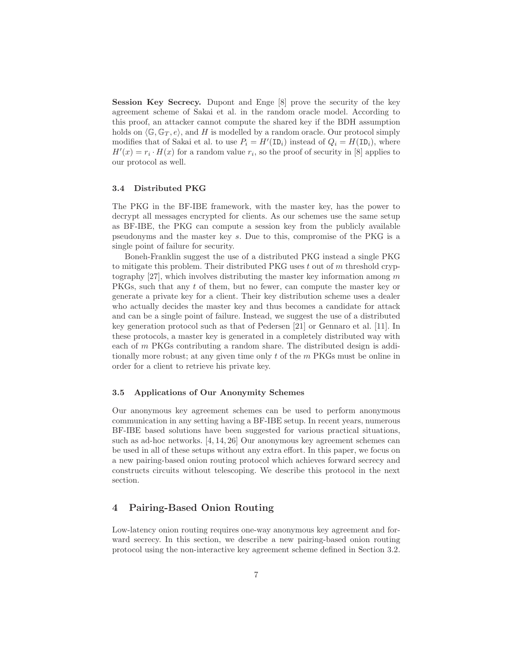Session Key Secrecy. Dupont and Enge [8] prove the security of the key agreement scheme of Sakai et al. in the random oracle model. According to this proof, an attacker cannot compute the shared key if the BDH assumption holds on  $\langle \mathbb{G}, \mathbb{G}_T, e \rangle$ , and H is modelled by a random oracle. Our protocol simply modifies that of Sakai et al. to use  $P_i = H'(\text{ID}_i)$  instead of  $Q_i = H(\text{ID}_i)$ , where  $H'(x) = r_i \cdot H(x)$  for a random value  $r_i$ , so the proof of security in [8] applies to our protocol as well.

#### 3.4 Distributed PKG

The PKG in the BF-IBE framework, with the master key, has the power to decrypt all messages encrypted for clients. As our schemes use the same setup as BF-IBE, the PKG can compute a session key from the publicly available pseudonyms and the master key s. Due to this, compromise of the PKG is a single point of failure for security.

Boneh-Franklin suggest the use of a distributed PKG instead a single PKG to mitigate this problem. Their distributed PKG uses  $t$  out of  $m$  threshold cryptography  $|27|$ , which involves distributing the master key information among m PKGs, such that any t of them, but no fewer, can compute the master key or generate a private key for a client. Their key distribution scheme uses a dealer who actually decides the master key and thus becomes a candidate for attack and can be a single point of failure. Instead, we suggest the use of a distributed key generation protocol such as that of Pedersen [21] or Gennaro et al. [11]. In these protocols, a master key is generated in a completely distributed way with each of m PKGs contributing a random share. The distributed design is additionally more robust; at any given time only  $t$  of the  $m$  PKGs must be online in order for a client to retrieve his private key.

# 3.5 Applications of Our Anonymity Schemes

Our anonymous key agreement schemes can be used to perform anonymous communication in any setting having a BF-IBE setup. In recent years, numerous BF-IBE based solutions have been suggested for various practical situations, such as ad-hoc networks. [4, 14, 26] Our anonymous key agreement schemes can be used in all of these setups without any extra effort. In this paper, we focus on a new pairing-based onion routing protocol which achieves forward secrecy and constructs circuits without telescoping. We describe this protocol in the next section.

# 4 Pairing-Based Onion Routing

Low-latency onion routing requires one-way anonymous key agreement and forward secrecy. In this section, we describe a new pairing-based onion routing protocol using the non-interactive key agreement scheme defined in Section 3.2.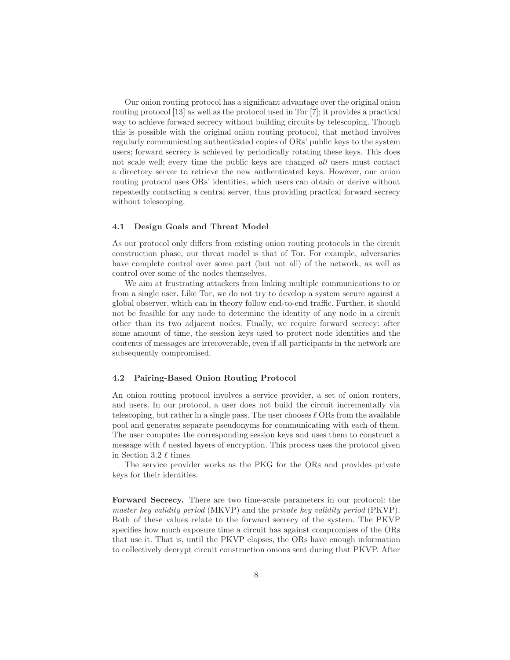Our onion routing protocol has a significant advantage over the original onion routing protocol [13] as well as the protocol used in Tor [7]; it provides a practical way to achieve forward secrecy without building circuits by telescoping. Though this is possible with the original onion routing protocol, that method involves regularly communicating authenticated copies of ORs' public keys to the system users; forward secrecy is achieved by periodically rotating these keys. This does not scale well; every time the public keys are changed all users must contact a directory server to retrieve the new authenticated keys. However, our onion routing protocol uses ORs' identities, which users can obtain or derive without repeatedly contacting a central server, thus providing practical forward secrecy without telescoping.

#### 4.1 Design Goals and Threat Model

As our protocol only differs from existing onion routing protocols in the circuit construction phase, our threat model is that of Tor. For example, adversaries have complete control over some part (but not all) of the network, as well as control over some of the nodes themselves.

We aim at frustrating attackers from linking multiple communications to or from a single user. Like Tor, we do not try to develop a system secure against a global observer, which can in theory follow end-to-end traffic. Further, it should not be feasible for any node to determine the identity of any node in a circuit other than its two adjacent nodes. Finally, we require forward secrecy: after some amount of time, the session keys used to protect node identities and the contents of messages are irrecoverable, even if all participants in the network are subsequently compromised.

#### 4.2 Pairing-Based Onion Routing Protocol

An onion routing protocol involves a service provider, a set of onion routers, and users. In our protocol, a user does not build the circuit incrementally via telescoping, but rather in a single pass. The user chooses  $\ell$  ORs from the available pool and generates separate pseudonyms for communicating with each of them. The user computes the corresponding session keys and uses them to construct a message with  $\ell$  nested layers of encryption. This process uses the protocol given in Section 3.2  $\ell$  times.

The service provider works as the PKG for the ORs and provides private keys for their identities.

Forward Secrecy. There are two time-scale parameters in our protocol: the master key validity period (MKVP) and the private key validity period (PKVP). Both of these values relate to the forward secrecy of the system. The PKVP specifies how much exposure time a circuit has against compromises of the ORs that use it. That is, until the PKVP elapses, the ORs have enough information to collectively decrypt circuit construction onions sent during that PKVP. After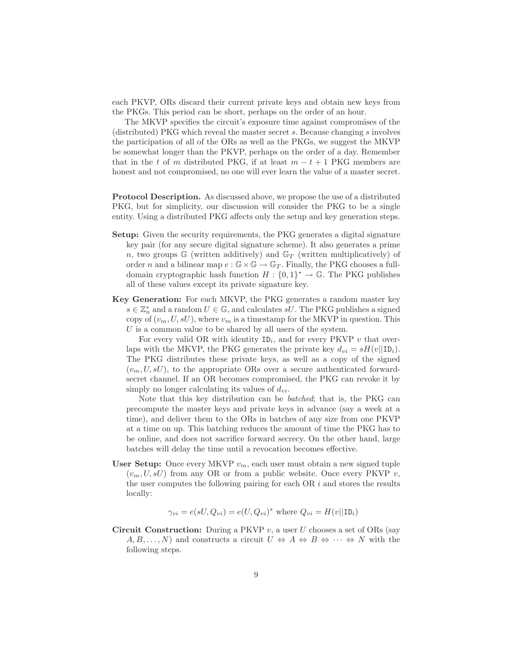each PKVP, ORs discard their current private keys and obtain new keys from the PKGs. This period can be short, perhaps on the order of an hour.

The MKVP specifies the circuit's exposure time against compromises of the (distributed) PKG which reveal the master secret s. Because changing s involves the participation of all of the ORs as well as the PKGs, we suggest the MKVP be somewhat longer than the PKVP, perhaps on the order of a day. Remember that in the t of m distributed PKG, if at least  $m - t + 1$  PKG members are honest and not compromised, no one will ever learn the value of a master secret.

Protocol Description. As discussed above, we propose the use of a distributed PKG, but for simplicity, our discussion will consider the PKG to be a single entity. Using a distributed PKG affects only the setup and key generation steps.

- Setup: Given the security requirements, the PKG generates a digital signature key pair (for any secure digital signature scheme). It also generates a prime n, two groups  $\mathbb{G}$  (written additively) and  $\mathbb{G}_T$  (written multiplicatively) of order n and a bilinear map  $e : \mathbb{G} \times \mathbb{G} \to \mathbb{G}_T$ . Finally, the PKG chooses a fulldomain cryptographic hash function  $H: \{0,1\}^* \to \mathbb{G}$ . The PKG publishes all of these values except its private signature key.
- Key Generation: For each MKVP, the PKG generates a random master key  $s \in \mathbb{Z}_n^*$  and a random  $U \in \mathbb{G}$ , and calculates  $sU$ . The PKG publishes a signed copy of  $(v_m, U, sU)$ , where  $v_m$  is a timestamp for the MKVP in question. This U is a common value to be shared by all users of the system.

For every valid OR with identity  $ID_i$ , and for every PKVP v that overlaps with the MKVP, the PKG generates the private key  $d_{vi} = sH(v||\text{ID}_i)$ . The PKG distributes these private keys, as well as a copy of the signed  $(v_m, U, sU)$ , to the appropriate ORs over a secure authenticated forwardsecret channel. If an OR becomes compromised, the PKG can revoke it by simply no longer calculating its values of  $d_{vi}$ .

Note that this key distribution can be batched; that is, the PKG can precompute the master keys and private keys in advance (say a week at a time), and deliver them to the ORs in batches of any size from one PKVP at a time on up. This batching reduces the amount of time the PKG has to be online, and does not sacrifice forward secrecy. On the other hand, large batches will delay the time until a revocation becomes effective.

User Setup: Once every MKVP  $v_m$ , each user must obtain a new signed tuple  $(v_m, U, sU)$  from any OR or from a public website. Once every PKVP v, the user computes the following pairing for each  $OR$  i and stores the results locally:

$$
\gamma_{vi} = e(sU, Q_{vi}) = e(U, Q_{vi})^s
$$
 where  $Q_{vi} = H(v||\text{ID}_i)$ 

**Circuit Construction:** During a PKVP v, a user U chooses a set of ORs (say  $A, B, \ldots, N$  and constructs a circuit  $U \Leftrightarrow A \Leftrightarrow B \Leftrightarrow \cdots \Leftrightarrow N$  with the following steps.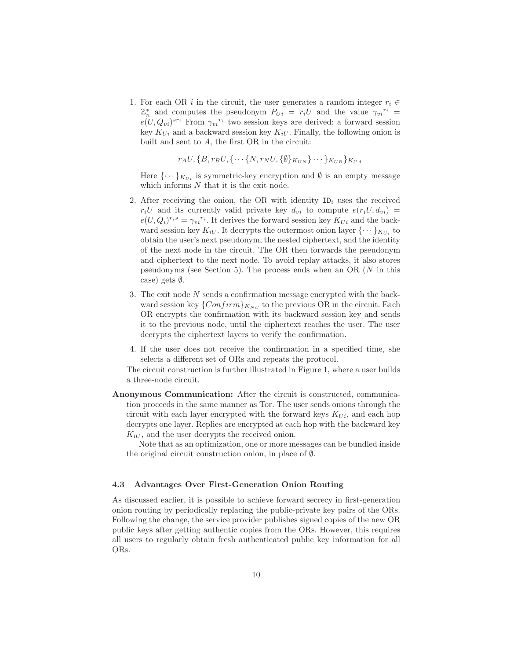1. For each OR i in the circuit, the user generates a random integer  $r_i \in$  $\mathbb{Z}_n^*$  and computes the pseudonym  $P_{Ui} = r_i U$  and the value  $\gamma_{vi}^{r_i} =$  $e(U, Q_{vi})^{sr_i}$  From  $\gamma_{vi}^{r_i}$  two session keys are derived: a forward session key  $K_{Ui}$  and a backward session key  $K_{iU}$ . Finally, the following onion is built and sent to  $A$ , the first OR in the circuit:

 $r_A U, \{B, r_B U, \{\cdots\} N, r_N U, \{\emptyset\} K_{UN} \} \cdots \} K_{UB} \} K_{UA}$ 

Here  $\{\cdots\}_{K_{U_i}}$  is symmetric-key encryption and  $\emptyset$  is an empty message which informs  $N$  that it is the exit node.

- 2. After receiving the onion, the OR with identity  $ID_i$  uses the received  $r_iU$  and its currently valid private key  $d_{vi}$  to compute  $e(r_iU, d_{vi})$  =  $e(U, Q_i)^{r_i s} = \gamma_{vi}^{r_i}$ . It derives the forward session key  $K_{Ui}$  and the backward session key  $K_{iU}$ . It decrypts the outermost onion layer  $\{\cdots\}_{K_{U_i}}$  to obtain the user's next pseudonym, the nested ciphertext, and the identity of the next node in the circuit. The OR then forwards the pseudonym and ciphertext to the next node. To avoid replay attacks, it also stores pseudonyms (see Section 5). The process ends when an OR (N in this case) gets ∅.
- 3. The exit node  $N$  sends a confirmation message encrypted with the backward session key  $\{Confirm\}_{K_{NU}}$  to the previous OR in the circuit. Each OR encrypts the confirmation with its backward session key and sends it to the previous node, until the ciphertext reaches the user. The user decrypts the ciphertext layers to verify the confirmation.
- 4. If the user does not receive the confirmation in a specified time, she selects a different set of ORs and repeats the protocol.

The circuit construction is further illustrated in Figure 1, where a user builds a three-node circuit.

Anonymous Communication: After the circuit is constructed, communication proceeds in the same manner as Tor. The user sends onions through the circuit with each layer encrypted with the forward keys  $K_{Ui}$ , and each hop decrypts one layer. Replies are encrypted at each hop with the backward key  $K_{iU}$ , and the user decrypts the received onion.

Note that as an optimization, one or more messages can be bundled inside the original circuit construction onion, in place of ∅.

#### 4.3 Advantages Over First-Generation Onion Routing

As discussed earlier, it is possible to achieve forward secrecy in first-generation onion routing by periodically replacing the public-private key pairs of the ORs. Following the change, the service provider publishes signed copies of the new OR public keys after getting authentic copies from the ORs. However, this requires all users to regularly obtain fresh authenticated public key information for all ORs.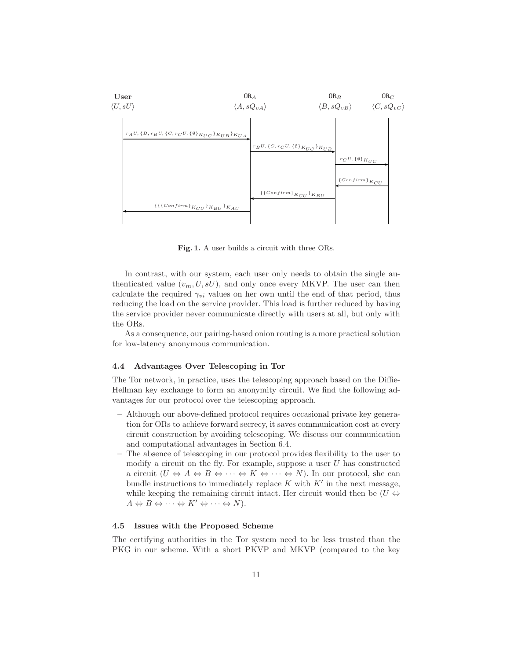

Fig. 1. A user builds a circuit with three ORs.

In contrast, with our system, each user only needs to obtain the single authenticated value  $(v_m, U, sU)$ , and only once every MKVP. The user can then calculate the required  $\gamma_{vi}$  values on her own until the end of that period, thus reducing the load on the service provider. This load is further reduced by having the service provider never communicate directly with users at all, but only with the ORs.

As a consequence, our pairing-based onion routing is a more practical solution for low-latency anonymous communication.

#### 4.4 Advantages Over Telescoping in Tor

The Tor network, in practice, uses the telescoping approach based on the Diffie-Hellman key exchange to form an anonymity circuit. We find the following advantages for our protocol over the telescoping approach.

- Although our above-defined protocol requires occasional private key generation for ORs to achieve forward secrecy, it saves communication cost at every circuit construction by avoiding telescoping. We discuss our communication and computational advantages in Section 6.4.
- The absence of telescoping in our protocol provides flexibility to the user to modify a circuit on the fly. For example, suppose a user  $U$  has constructed a circuit  $(U \Leftrightarrow A \Leftrightarrow B \Leftrightarrow \cdots \Leftrightarrow K \Leftrightarrow \cdots \Leftrightarrow N)$ . In our protocol, she can bundle instructions to immediately replace  $K$  with  $K'$  in the next message, while keeping the remaining circuit intact. Her circuit would then be  $(U \Leftrightarrow$  $A \Leftrightarrow B \Leftrightarrow \cdots \Leftrightarrow K' \Leftrightarrow \cdots \Leftrightarrow N$ ).

#### 4.5 Issues with the Proposed Scheme

The certifying authorities in the Tor system need to be less trusted than the PKG in our scheme. With a short PKVP and MKVP (compared to the key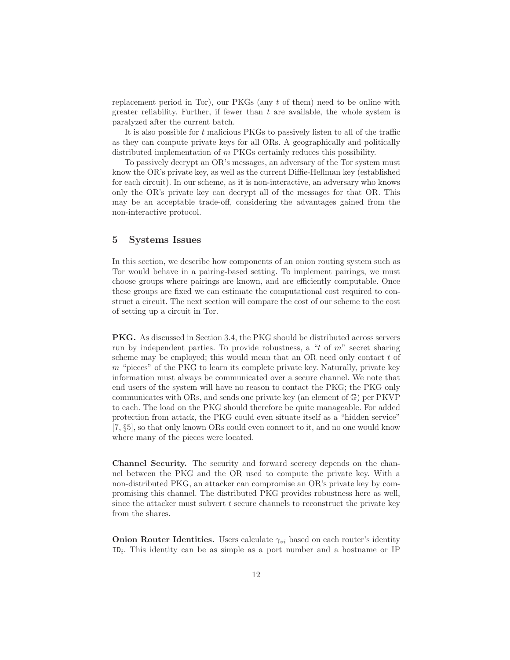replacement period in Tor), our PKGs (any t of them) need to be online with greater reliability. Further, if fewer than  $t$  are available, the whole system is paralyzed after the current batch.

It is also possible for t malicious PKGs to passively listen to all of the traffic as they can compute private keys for all ORs. A geographically and politically distributed implementation of m PKGs certainly reduces this possibility.

To passively decrypt an OR's messages, an adversary of the Tor system must know the OR's private key, as well as the current Diffie-Hellman key (established for each circuit). In our scheme, as it is non-interactive, an adversary who knows only the OR's private key can decrypt all of the messages for that OR. This may be an acceptable trade-off, considering the advantages gained from the non-interactive protocol.

# 5 Systems Issues

In this section, we describe how components of an onion routing system such as Tor would behave in a pairing-based setting. To implement pairings, we must choose groups where pairings are known, and are efficiently computable. Once these groups are fixed we can estimate the computational cost required to construct a circuit. The next section will compare the cost of our scheme to the cost of setting up a circuit in Tor.

PKG. As discussed in Section 3.4, the PKG should be distributed across servers run by independent parties. To provide robustness, a "t of  $m$ " secret sharing scheme may be employed; this would mean that an  $OR$  need only contact  $t$  of  $m$  "pieces" of the PKG to learn its complete private key. Naturally, private key information must always be communicated over a secure channel. We note that end users of the system will have no reason to contact the PKG; the PKG only communicates with ORs, and sends one private key (an element of G) per PKVP to each. The load on the PKG should therefore be quite manageable. For added protection from attack, the PKG could even situate itself as a "hidden service" [7, §5], so that only known ORs could even connect to it, and no one would know where many of the pieces were located.

Channel Security. The security and forward secrecy depends on the channel between the PKG and the OR used to compute the private key. With a non-distributed PKG, an attacker can compromise an OR's private key by compromising this channel. The distributed PKG provides robustness here as well, since the attacker must subvert  $t$  secure channels to reconstruct the private key from the shares.

**Onion Router Identities.** Users calculate  $\gamma_{vi}$  based on each router's identity  $ID_i$ . This identity can be as simple as a port number and a hostname or IP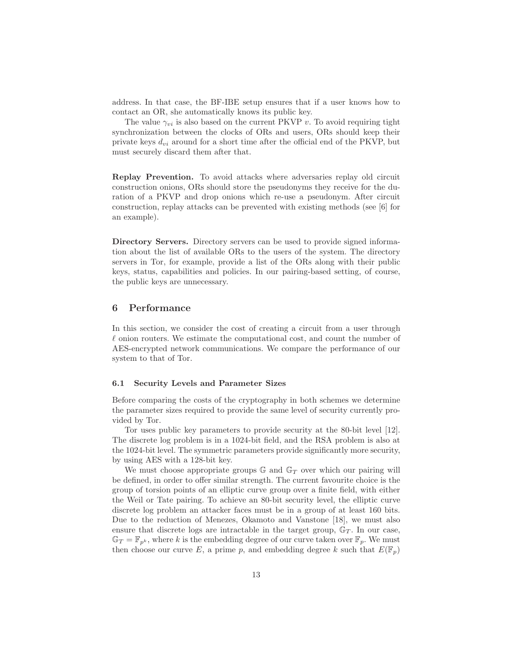address. In that case, the BF-IBE setup ensures that if a user knows how to contact an OR, she automatically knows its public key.

The value  $\gamma_{vi}$  is also based on the current PKVP v. To avoid requiring tight synchronization between the clocks of ORs and users, ORs should keep their private keys  $d_{vi}$  around for a short time after the official end of the PKVP, but must securely discard them after that.

Replay Prevention. To avoid attacks where adversaries replay old circuit construction onions, ORs should store the pseudonyms they receive for the duration of a PKVP and drop onions which re-use a pseudonym. After circuit construction, replay attacks can be prevented with existing methods (see [6] for an example).

Directory Servers. Directory servers can be used to provide signed information about the list of available ORs to the users of the system. The directory servers in Tor, for example, provide a list of the ORs along with their public keys, status, capabilities and policies. In our pairing-based setting, of course, the public keys are unnecessary.

## 6 Performance

In this section, we consider the cost of creating a circuit from a user through  $\ell$  onion routers. We estimate the computational cost, and count the number of AES-encrypted network communications. We compare the performance of our system to that of Tor.

#### 6.1 Security Levels and Parameter Sizes

Before comparing the costs of the cryptography in both schemes we determine the parameter sizes required to provide the same level of security currently provided by Tor.

Tor uses public key parameters to provide security at the 80-bit level [12]. The discrete log problem is in a 1024-bit field, and the RSA problem is also at the 1024-bit level. The symmetric parameters provide significantly more security, by using AES with a 128-bit key.

We must choose appropriate groups  $\mathbb{G}$  and  $\mathbb{G}_T$  over which our pairing will be defined, in order to offer similar strength. The current favourite choice is the group of torsion points of an elliptic curve group over a finite field, with either the Weil or Tate pairing. To achieve an 80-bit security level, the elliptic curve discrete log problem an attacker faces must be in a group of at least 160 bits. Due to the reduction of Menezes, Okamoto and Vanstone [18], we must also ensure that discrete logs are intractable in the target group,  $\mathbb{G}_T$ . In our case,  $\mathbb{G}_T = \mathbb{F}_{p^k}$ , where k is the embedding degree of our curve taken over  $\mathbb{F}_p$ . We must then choose our curve E, a prime p, and embedding degree k such that  $E(\mathbb{F}_p)$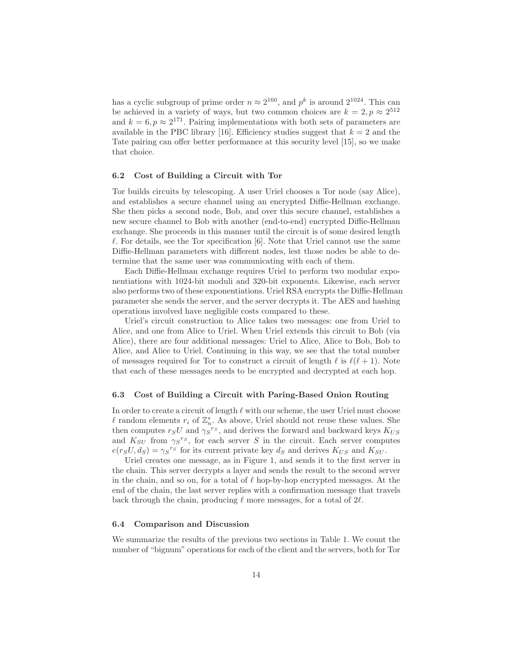has a cyclic subgroup of prime order  $n \approx 2^{160}$ , and  $p^k$  is around  $2^{1024}$ . This can be achieved in a variety of ways, but two common choices are  $k = 2, p \approx 2^{512}$ and  $k = 6, p \approx 2^{171}$ . Pairing implementations with both sets of parameters are available in the PBC library [16]. Efficiency studies suggest that  $k = 2$  and the Tate pairing can offer better performance at this security level [15], so we make that choice.

#### 6.2 Cost of Building a Circuit with Tor

Tor builds circuits by telescoping. A user Uriel chooses a Tor node (say Alice), and establishes a secure channel using an encrypted Diffie-Hellman exchange. She then picks a second node, Bob, and over this secure channel, establishes a new secure channel to Bob with another (end-to-end) encrypted Diffie-Hellman exchange. She proceeds in this manner until the circuit is of some desired length  $\ell$ . For details, see the Tor specification [6]. Note that Uriel cannot use the same Diffie-Hellman parameters with different nodes, lest those nodes be able to determine that the same user was communicating with each of them.

Each Diffie-Hellman exchange requires Uriel to perform two modular exponentiations with 1024-bit moduli and 320-bit exponents. Likewise, each server also performs two of these exponentiations. Uriel RSA encrypts the Diffie-Hellman parameter she sends the server, and the server decrypts it. The AES and hashing operations involved have negligible costs compared to these.

Uriel's circuit construction to Alice takes two messages: one from Uriel to Alice, and one from Alice to Uriel. When Uriel extends this circuit to Bob (via Alice), there are four additional messages: Uriel to Alice, Alice to Bob, Bob to Alice, and Alice to Uriel. Continuing in this way, we see that the total number of messages required for Tor to construct a circuit of length  $\ell$  is  $\ell(\ell+1)$ . Note that each of these messages needs to be encrypted and decrypted at each hop.

#### 6.3 Cost of Building a Circuit with Paring-Based Onion Routing

In order to create a circuit of length  $\ell$  with our scheme, the user Uriel must choose l random elements  $r_i$  of  $\mathbb{Z}_n^*$ . As above, Uriel should not reuse these values. She then computes  $r_S U$  and  $\gamma_S^{r_S}$ , and derives the forward and backward keys  $K_{US}$ and  $K_{SU}$  from  $\gamma_S^{rs}$ , for each server S in the circuit. Each server computes  $e(r_S U, d_S) = \gamma_S^{r_S}$  for its current private key  $d_S$  and derives  $K_{US}$  and  $K_{SU}$ .

Uriel creates one message, as in Figure 1, and sends it to the first server in the chain. This server decrypts a layer and sends the result to the second server in the chain, and so on, for a total of  $\ell$  hop-by-hop encrypted messages. At the end of the chain, the last server replies with a confirmation message that travels back through the chain, producing  $\ell$  more messages, for a total of  $2\ell$ .

#### 6.4 Comparison and Discussion

We summarize the results of the previous two sections in Table 1. We count the number of "bignum" operations for each of the client and the servers, both for Tor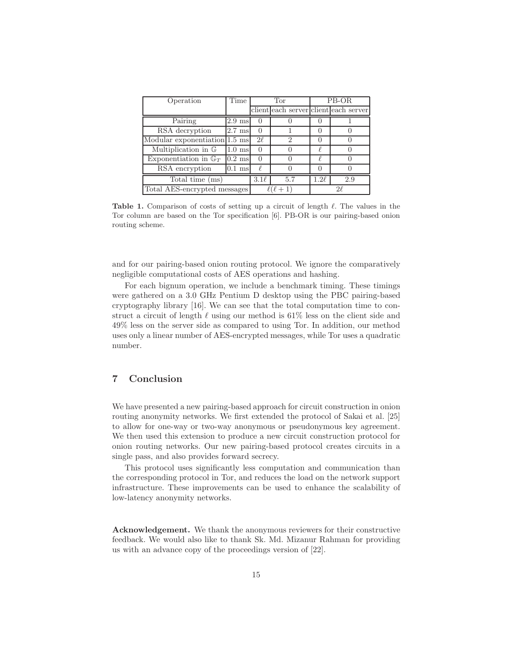| Operation                        | Time             | Tor       |               | PB-OR     |                                       |
|----------------------------------|------------------|-----------|---------------|-----------|---------------------------------------|
|                                  |                  |           |               |           | client each server client each server |
| Pairing                          | $2.9$ ms         | $\Omega$  |               |           |                                       |
| RSA decryption                   | $2.7 \text{ ms}$ | $\Box$    |               |           |                                       |
| Modular exponentiation 1.5 ms    |                  | $2\ell$   | $\mathcal{D}$ |           |                                       |
| Multiplication in G              | $1.0 \text{ ms}$ | $\Box$    |               |           |                                       |
| Exponentiation in $\mathbb{G}_T$ | $0.2$ ms         |           |               |           |                                       |
| RSA encryption                   | $0.1$ ms         |           |               |           |                                       |
| Total time (ms)                  |                  | $3.1\ell$ | 5.7           | $1.2\ell$ | 2.9                                   |
| Total AES-encrypted messages     |                  |           |               | 9ľ        |                                       |

Table 1. Comparison of costs of setting up a circuit of length  $\ell$ . The values in the Tor column are based on the Tor specification [6]. PB-OR is our pairing-based onion routing scheme.

and for our pairing-based onion routing protocol. We ignore the comparatively negligible computational costs of AES operations and hashing.

For each bignum operation, we include a benchmark timing. These timings were gathered on a 3.0 GHz Pentium D desktop using the PBC pairing-based cryptography library [16]. We can see that the total computation time to construct a circuit of length  $\ell$  using our method is 61% less on the client side and 49% less on the server side as compared to using Tor. In addition, our method uses only a linear number of AES-encrypted messages, while Tor uses a quadratic number.

# 7 Conclusion

We have presented a new pairing-based approach for circuit construction in onion routing anonymity networks. We first extended the protocol of Sakai et al. [25] to allow for one-way or two-way anonymous or pseudonymous key agreement. We then used this extension to produce a new circuit construction protocol for onion routing networks. Our new pairing-based protocol creates circuits in a single pass, and also provides forward secrecy.

This protocol uses significantly less computation and communication than the corresponding protocol in Tor, and reduces the load on the network support infrastructure. These improvements can be used to enhance the scalability of low-latency anonymity networks.

Acknowledgement. We thank the anonymous reviewers for their constructive feedback. We would also like to thank Sk. Md. Mizanur Rahman for providing us with an advance copy of the proceedings version of [22].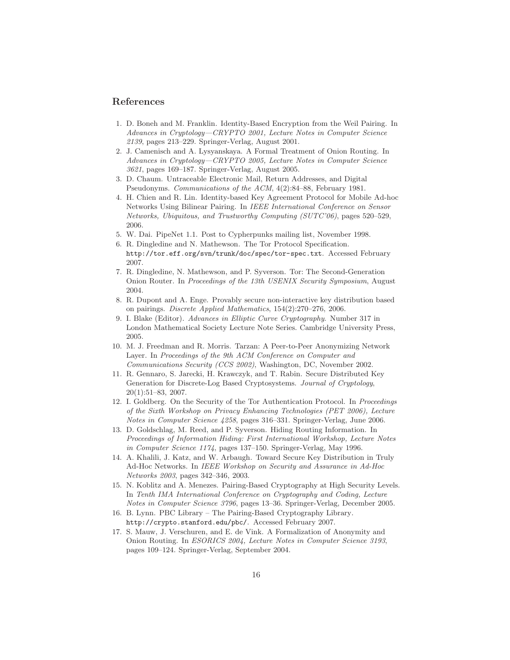## References

- 1. D. Boneh and M. Franklin. Identity-Based Encryption from the Weil Pairing. In Advances in Cryptology—CRYPTO 2001, Lecture Notes in Computer Science 2139, pages 213–229. Springer-Verlag, August 2001.
- 2. J. Camenisch and A. Lysyanskaya. A Formal Treatment of Onion Routing. In Advances in Cryptology—CRYPTO 2005, Lecture Notes in Computer Science 3621, pages 169–187. Springer-Verlag, August 2005.
- 3. D. Chaum. Untraceable Electronic Mail, Return Addresses, and Digital Pseudonyms. Communications of the ACM, 4(2):84–88, February 1981.
- 4. H. Chien and R. Lin. Identity-based Key Agreement Protocol for Mobile Ad-hoc Networks Using Bilinear Pairing. In IEEE International Conference on Sensor Networks, Ubiquitous, and Trustworthy Computing (SUTC'06), pages 520–529, 2006.
- 5. W. Dai. PipeNet 1.1. Post to Cypherpunks mailing list, November 1998.
- 6. R. Dingledine and N. Mathewson. The Tor Protocol Specification. http://tor.eff.org/svn/trunk/doc/spec/tor-spec.txt. Accessed February 2007.
- 7. R. Dingledine, N. Mathewson, and P. Syverson. Tor: The Second-Generation Onion Router. In Proceedings of the 13th USENIX Security Symposium, August 2004.
- 8. R. Dupont and A. Enge. Provably secure non-interactive key distribution based on pairings. Discrete Applied Mathematics, 154(2):270–276, 2006.
- 9. I. Blake (Editor). Advances in Elliptic Curve Cryptography. Number 317 in London Mathematical Society Lecture Note Series. Cambridge University Press, 2005.
- 10. M. J. Freedman and R. Morris. Tarzan: A Peer-to-Peer Anonymizing Network Layer. In Proceedings of the 9th ACM Conference on Computer and Communications Security (CCS 2002), Washington, DC, November 2002.
- 11. R. Gennaro, S. Jarecki, H. Krawczyk, and T. Rabin. Secure Distributed Key Generation for Discrete-Log Based Cryptosystems. Journal of Cryptology, 20(1):51–83, 2007.
- 12. I. Goldberg. On the Security of the Tor Authentication Protocol. In Proceedings of the Sixth Workshop on Privacy Enhancing Technologies (PET 2006), Lecture Notes in Computer Science 4258, pages 316–331. Springer-Verlag, June 2006.
- 13. D. Goldschlag, M. Reed, and P. Syverson. Hiding Routing Information. In Proceedings of Information Hiding: First International Workshop, Lecture Notes in Computer Science 1174, pages 137–150. Springer-Verlag, May 1996.
- 14. A. Khalili, J. Katz, and W. Arbaugh. Toward Secure Key Distribution in Truly Ad-Hoc Networks. In IEEE Workshop on Security and Assurance in Ad-Hoc Networks 2003, pages 342–346, 2003.
- 15. N. Koblitz and A. Menezes. Pairing-Based Cryptography at High Security Levels. In Tenth IMA International Conference on Cryptography and Coding, Lecture Notes in Computer Science 3796, pages 13–36. Springer-Verlag, December 2005.
- 16. B. Lynn. PBC Library The Pairing-Based Cryptography Library. http://crypto.stanford.edu/pbc/. Accessed February 2007.
- 17. S. Mauw, J. Verschuren, and E. de Vink. A Formalization of Anonymity and Onion Routing. In ESORICS 2004, Lecture Notes in Computer Science 3193, pages 109–124. Springer-Verlag, September 2004.